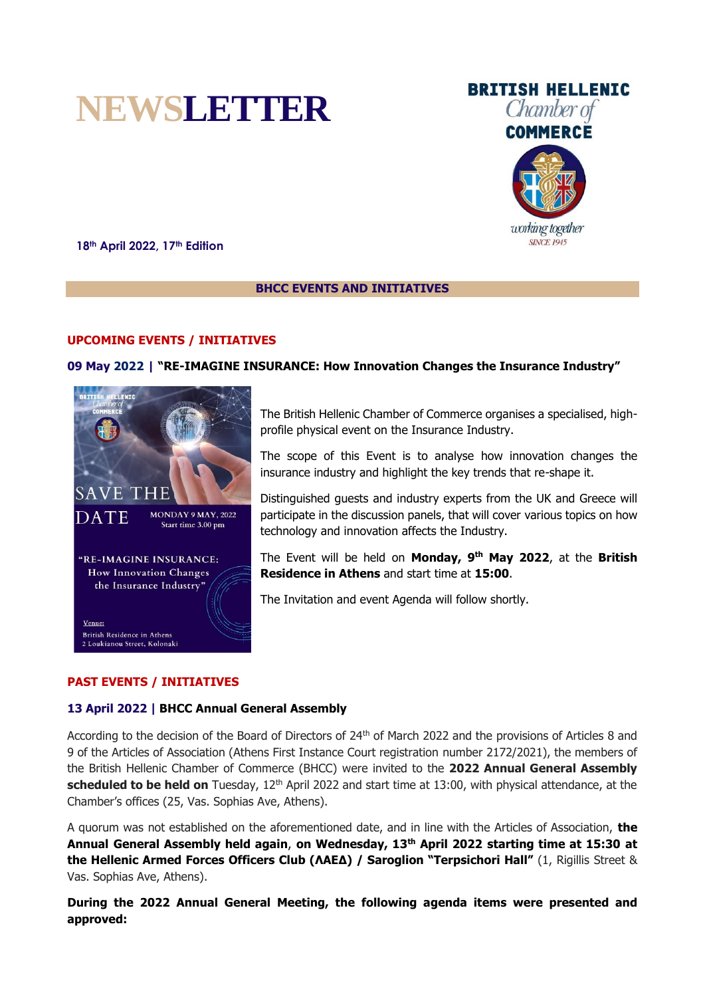



working together **SINCE 1945** 

**18th April 2022, 17th Edition**

## **BHCC EVENTS AND INITIATIVES**

### **UPCOMING EVENTS / INITIATIVES**

### **09 May 2022 | "RE-IMAGINE INSURANCE: How Innovation Changes the Insurance Industry"**



The British Hellenic Chamber of Commerce organises a specialised, highprofile physical event on the Insurance Industry.

The scope of this Event is to analyse how innovation changes the insurance industry and highlight the key trends that re-shape it.

Distinguished guests and industry experts from the UK and Greece will participate in the discussion panels, that will cover various topics on how technology and innovation affects the Industry.

The Event will be held on **Monday, 9 th May 2022**, at the **British Residence in Athens** and start time at **15:00**.

The Invitation and event Agenda will follow shortly.

## **PAST EVENTS / INITIATIVES**

### **13 April 2022 | BHCC Annual General Assembly**

According to the decision of the Board of Directors of 24th of March 2022 and the provisions of Articles 8 and 9 of the Articles of Association (Athens First Instance Court registration number 2172/2021), the members of the British Hellenic Chamber of Commerce (BHCC) were invited to the **2022 Annual General Assembly scheduled to be held on** Tuesday, 12th April 2022 and start time at 13:00, with physical attendance, at the Chamber's offices (25, Vas. Sophias Ave, Athens).

A quorum was not established on the aforementioned date, and in line with the Articles of Association, **the Annual General Assembly held again**, **on Wednesday, 13th April 2022 starting time at 15:30 at the Hellenic Armed Forces Officers Club (ΛΑΕΔ) / Saroglion "Terpsichori Hall"** (1, Rigillis Street & Vas. Sophias Ave, Athens).

**During the 2022 Annual General Meeting, the following agenda items were presented and approved:**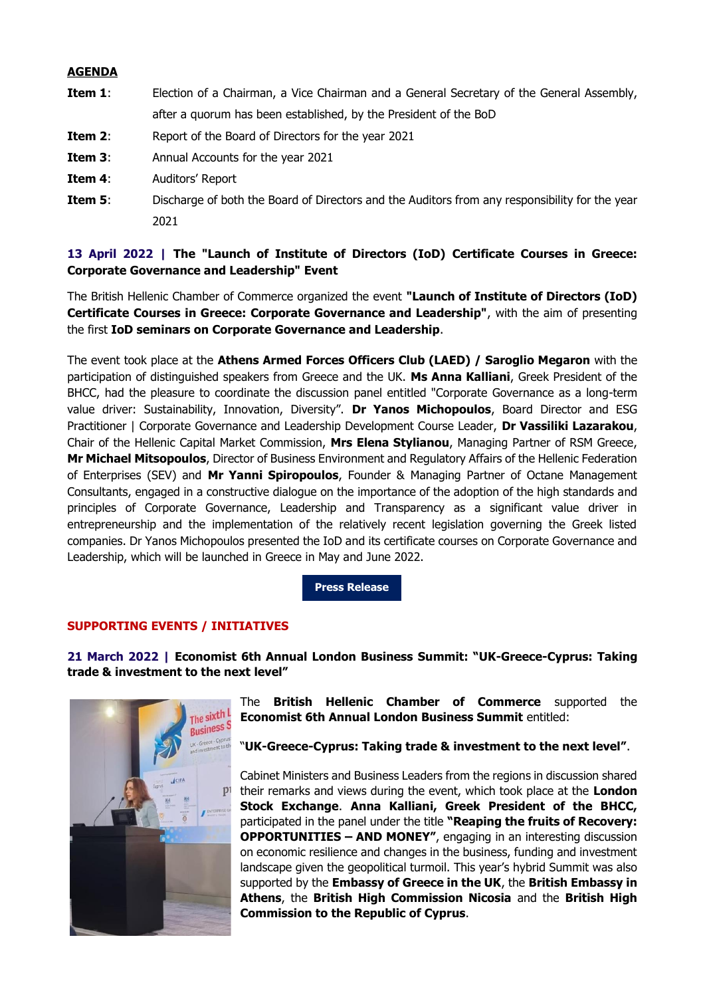## **AGENDA**

- **Item 1**: Election of a Chairman, a Vice Chairman and a General Secretary of the General Assembly, after a quorum has been established, by the President of the BoD
- **Item 2:** Report of the Board of Directors for the year 2021
- **Item 3:** Annual Accounts for the year 2021
- **Item 4**: Auditors' Report
- **Item 5:** Discharge of both the Board of Directors and the Auditors from any responsibility for the year 2021

# **13 April 2022 | The "Launch of Institute of Directors (IoD) Certificate Courses in Greece: Corporate Governance and Leadership" Event**

The British Hellenic Chamber of Commerce organized the event **"Launch of Institute of Directors (IoD) Certificate Courses in Greece: Corporate Governance and Leadership"**, with the aim of presenting the first **IoD seminars on Corporate Governance and Leadership**.

The event took place at the **Athens Armed Forces Officers Club (LAED) / Saroglio Megaron** with the participation of distinguished speakers from Greece and the UK. **Ms Anna Kalliani**, Greek President of the BHCC, had the pleasure to coordinate the discussion panel entitled "Corporate Governance as a long-term value driver: Sustainability, Innovation, Diversity". **Dr Yanos Michopoulos**, Board Director and ESG Practitioner | Corporate Governance and Leadership Development Course Leader, **Dr Vassiliki Lazarakou**, Chair of the Hellenic Capital Market Commission, **Mrs Elena Stylianou**, Managing Partner of RSM Greece, **Mr Michael Mitsopoulos**, Director of Business Environment and Regulatory Affairs of the Hellenic Federation of Enterprises (SEV) and **Mr Yanni Spiropoulos**, Founder & Managing Partner of Octane Management Consultants, engaged in a constructive dialogue on the importance of the adoption of the high standards and principles of Corporate Governance, Leadership and Transparency as a significant value driver in entrepreneurship and the implementation of the relatively recent legislation governing the Greek listed companies. Dr Yanos Michopoulos presented the IoD and its certificate courses on Corporate Governance and Leadership, which will be launched in Greece in May and June 2022.

**[Press Release](https://mcusercontent.com/98e56585fe03b26122e60752c/files/920b8735-769c-3782-114f-2fcd8674ee9c/BHCC_IoD_Event_2022_Press_Release.pdf)**

## **SUPPORTING EVENTS / INITIATIVES**

**21 March 2022 | Economist 6th Annual London Business Summit: "UK-Greece-Cyprus: Taking trade & investment to the next level"**



The **British Hellenic Chamber of Commerce** supported the **Economist 6th Annual London Business Summit** entitled:

"**UK-Greece-Cyprus: Taking trade & investment to the next level"**.

Cabinet Ministers and Business Leaders from the regions in discussion shared their remarks and views during the event, which took place at the **London Stock Exchange**. **Anna Kalliani, Greek President of the BHCC,** participated in the panel under the title **"Reaping the fruits of Recovery: OPPORTUNITIES – AND MONEY"**, engaging in an interesting discussion on economic resilience and changes in the business, funding and investment landscape given the geopolitical turmoil. This year's hybrid Summit was also supported by the **Embassy of Greece in the UK**, the **British Embassy in Athens**, the **British High Commission Nicosia** and the **British High Commission to the Republic of Cyprus**.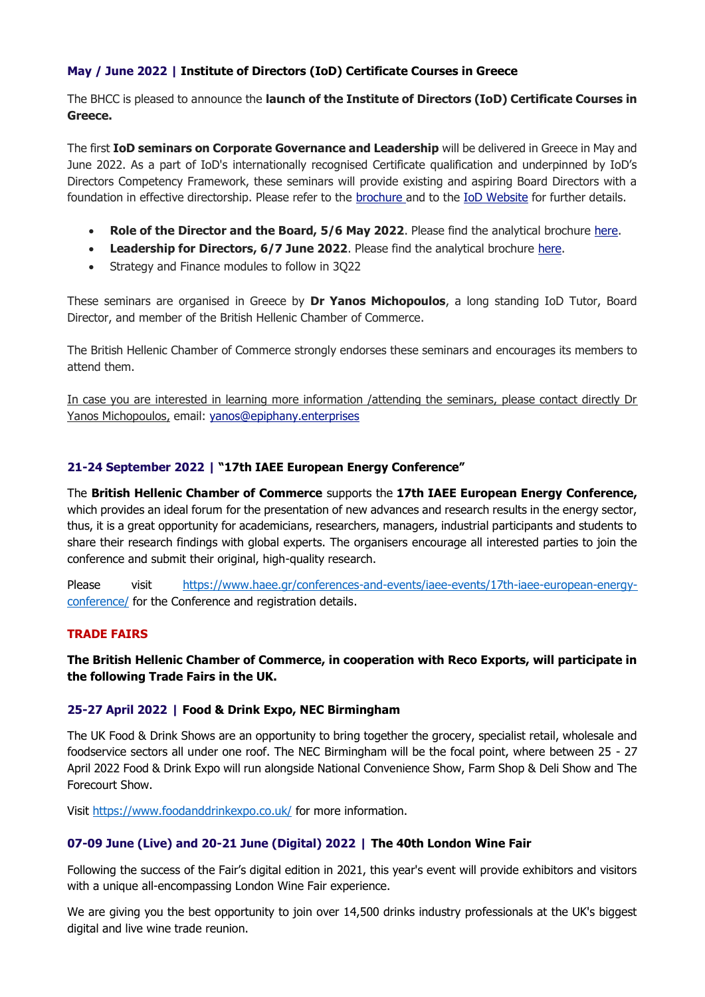# **May / June 2022 | Institute of Directors (IoD) Certificate Courses in Greece**

The BHCC is pleased to announce the **launch of the Institute of Directors (IoD) Certificate Courses in Greece.**

The first **IoD seminars on Corporate Governance and Leadership** will be delivered in Greece in May and June 2022. As a part of IoD's internationally recognised Certificate qualification and underpinned by IoD's Directors Competency Framework, these seminars will provide existing and aspiring Board Directors with a foundation in effective directorship. Please refer to the [brochure a](https://bhcc.us2.list-manage.com/track/click?u=98e56585fe03b26122e60752c&id=73924a8de8&e=3bc2a23405)nd to the [IoD Website](https://bhcc.us2.list-manage.com/track/click?u=98e56585fe03b26122e60752c&id=db0266da97&e=3bc2a23405) for further details.

- **Role of the Director and the Board, 5/6 May 2022.** Please find the analytical brochure [here.](https://bhcc.us2.list-manage.com/track/click?u=98e56585fe03b26122e60752c&id=b94e6e9903&e=3bc2a23405)
- **Leadership for Directors, 6/7 June 2022**. Please find the analytical brochure [here.](https://bhcc.us2.list-manage.com/track/click?u=98e56585fe03b26122e60752c&id=028fcfcb54&e=3bc2a23405)
- Strategy and Finance modules to follow in 3Q22

These seminars are organised in Greece by **Dr Yanos Michopoulos**, a long standing IoD Tutor, Board Director, and member of the British Hellenic Chamber of Commerce.

The British Hellenic Chamber of Commerce strongly endorses these seminars and encourages its members to attend them.

In case you are interested in learning more information /attending the seminars, please contact directly Dr Yanos Michopoulos, email: [yanos@epiphany.enterprises](mailto:yanos@epiphany.enterprises)

# **21-24 September 2022 | "17th IAEE European Energy Conference"**

The **British Hellenic Chamber of Commerce** supports the **17th IAEE European Energy Conference,**  which provides an ideal forum for the presentation of new advances and research results in the energy sector, thus, it is a great opportunity for academicians, researchers, managers, industrial participants and students to share their research findings with global experts. The organisers encourage all interested parties to join the conference and submit their original, high-quality research.

Please visit [https://www.haee.gr/conferences-and-events/iaee-events/17th-iaee-european-energy](https://www.haee.gr/conferences-and-events/iaee-events/17th-iaee-european-energy-conference/)[conference/](https://www.haee.gr/conferences-and-events/iaee-events/17th-iaee-european-energy-conference/) for the Conference and registration details.

# **TRADE FAIRS**

# **The British Hellenic Chamber of Commerce, in cooperation with Reco Exports, will participate in the following Trade Fairs in the UK.**

# **25-27 April 2022 | Food & Drink Expo, NEC Birmingham**

The UK Food & Drink Shows are an opportunity to bring together the grocery, specialist retail, wholesale and foodservice sectors all under one roof. The NEC Birmingham will be the focal point, where between 25 - 27 April 2022 Food & Drink Expo will run alongside National Convenience Show, Farm Shop & Deli Show and The Forecourt Show.

Visit<https://www.foodanddrinkexpo.co.uk/> for more information.

# **07-09 June (Live) and 20-21 June (Digital) 2022 | The 40th London Wine Fair**

Following the success of the Fair's digital edition in 2021, this year's event will provide exhibitors and visitors with a unique all-encompassing London Wine Fair experience.

We are giving you the best opportunity to join over 14,500 drinks industry professionals at the UK's biggest digital and live wine trade reunion.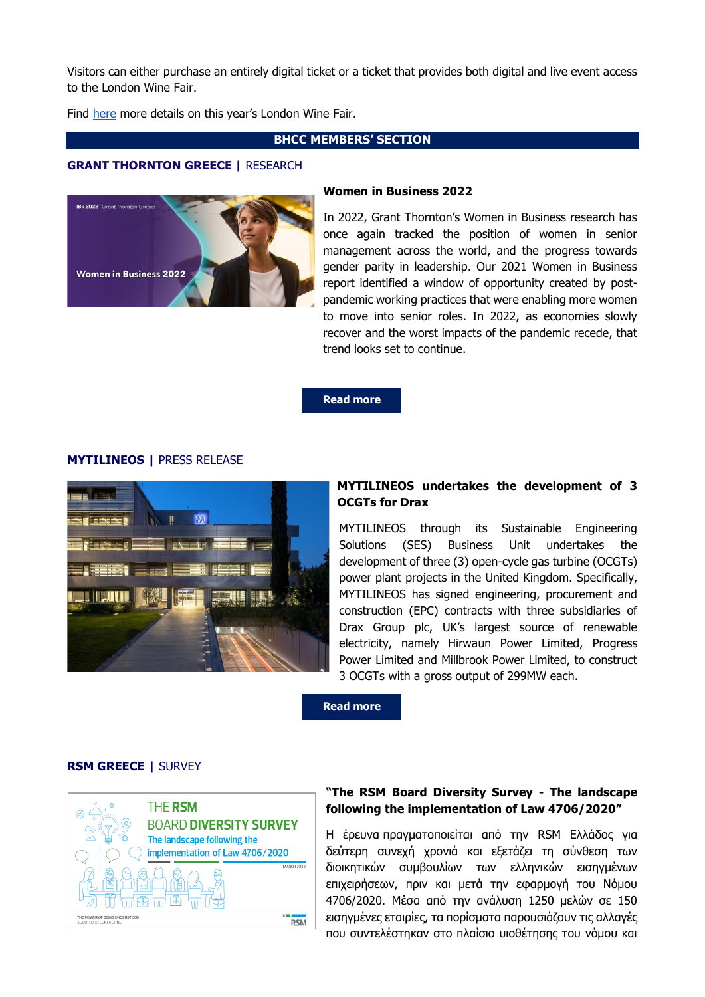Visitors can either purchase an entirely digital ticket or a ticket that provides both digital and live event access to the London Wine Fair.

Find [here](https://www.londonwinefair.com/) more details on this year's London Wine Fair.

## **BHCC MEMBERS' SECTION**

### **GRANT THORNTON GREECE |** RESEARCH



#### **Women in Business 2022**

In 2022, Grant Thornton's Women in Business research has once again tracked the position of women in senior management across the world, and the progress towards gender parity in leadership. Our 2021 Women in Business report identified a window of opportunity created by postpandemic working practices that were enabling more women to move into senior roles. In 2022, as economies slowly recover and the worst impacts of the pandemic recede, that trend looks set to continue.

**[Read more](https://www.grant-thornton.gr/en/insights/ibr/women-in-business-2022/)**

## **MYTILINEOS |** PRESS RELEASE



# **MYTILINEOS undertakes the development of 3 OCGTs for Drax**

MYTILINEOS through its Sustainable Engineering Solutions (SES) Business Unit undertakes the development of three (3) open-cycle gas turbine (OCGTs) power plant projects in the United Kingdom. Specifically, MYTILINEOS has signed engineering, procurement and construction (EPC) contracts with three subsidiaries of Drax Group plc, UK's largest source of renewable electricity, namely Hirwaun Power Limited, Progress Power Limited and Millbrook Power Limited, to construct 3 OCGTs with a gross output of 299MW each.

**[Read more](https://mcusercontent.com/98e56585fe03b26122e60752c/files/74f00415-759d-8d95-1b80-798793ea130a/MYTILINEOS_DRAX_ΕΝ.pdf)**

### **RSM GREECE |** SURVEY



## **"The RSM Board Diversity Survey - The landscape following the implementation of Law 4706/2020"**

Η έρευνα πραγματοποιείται από την RSM Ελλάδος για δεύτερη συνεχή χρονιά και εξετάζει τη σύνθεση των διοικητικών συμβουλίων των ελληνικών εισηγμένων επιχειρήσεων, πριν και μετά την εφαρμογή του Νόμου 4706/2020. Μέσα από την ανάλυση 1250 μελών σε 150 εισηγμένες εταιρίες, τα πορίσματα παρουσιάζουν τις αλλαγές που συντελέστηκαν στο πλαίσιο υιοθέτησης του νόμου και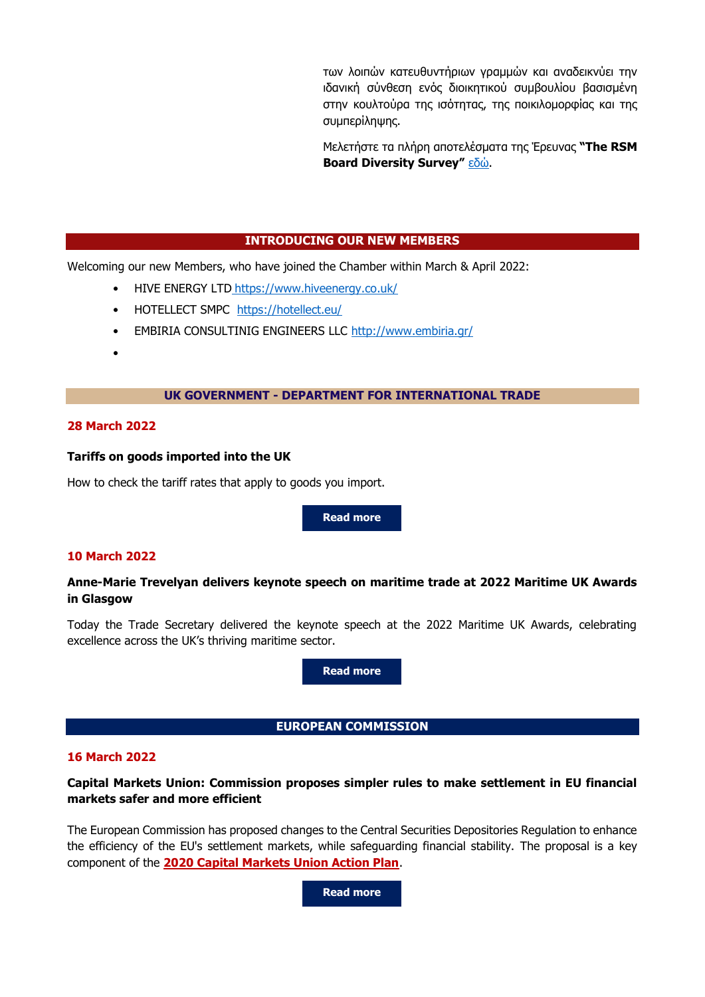των λοιπών κατευθυντήριων γραμμών και αναδεικνύει την ιδανική σύνθεση ενός διοικητικού συμβουλίου βασισμένη στην κουλτούρα της ισότητας, της ποικιλομορφίας και της συμπερίληψης.

Μελετήστε τα πλήρη αποτελέσματα της Έρευνας **"The RSM Board Diversity Survey"** [εδώ](https://www.rsm.global/greece/news/rsm-board-diversity-survey-landscape-following-implementation-law-47062020).

## **INTRODUCING OUR NEW MEMBERS**

Welcoming our new Members, who have joined the Chamber within March & April 2022:

- HIVE ENERGY LTD <https://www.hiveenergy.co.uk/>
- HOTELLECT SMPC <https://hotellect.eu/>
- EMBIRIA CONSULTINIG ENGINEERS LLC<http://www.embiria.gr/>
- •

### **UK GOVERNMENT - DEPARTMENT FOR INTERNATIONAL TRADE**

## **28 March 2022**

### **Tariffs on goods imported into the UK**

How to check the tariff rates that apply to goods you import.

**[Read more](https://www.gov.uk/guidance/tariffs-on-goods-imported-into-the-uk)**

## **10 March 2022**

## **Anne-Marie Trevelyan delivers keynote speech on maritime trade at 2022 Maritime UK Awards in Glasgow**

Today the Trade Secretary delivered the keynote speech at the 2022 Maritime UK Awards, celebrating excellence across the UK's thriving maritime sector.

**[Read more](https://www.gov.uk/government/speeches/anne-marie-trevelyan-delivers-keynote-speech-on-maritime-trade-at-2022-maritime-uk-awards-in-glasgow)**

**EUROPEAN COMMISSION**

### **16 March 2022**

## **Capital Markets Union: Commission proposes simpler rules to make settlement in EU financial markets safer and more efficient**

The European Commission has proposed changes to the Central Securities Depositories Regulation to enhance the efficiency of the EU's settlement markets, while safeguarding financial stability. The proposal is a key component of the **[2020 Capital Markets Union Action Plan](https://eur-lex.europa.eu/legal-content/EN/TXT/?uri=COM%3A2020%3A590%3AFIN)**.

**[Read more](https://ec.europa.eu/commission/presscorner/detail/en/ip_22_1729)**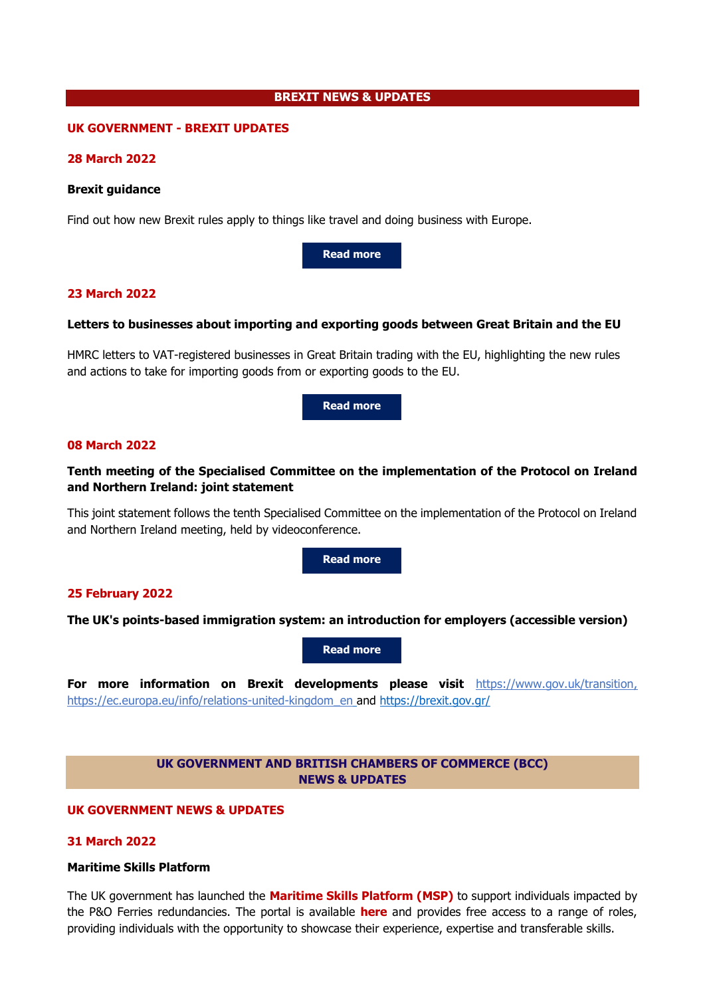### **BREXIT NEWS & UPDATES**

### **UK GOVERNMENT - BREXIT UPDATES**

### **28 March 2022**

#### **Brexit guidance**

Find out how new Brexit rules apply to things like travel and doing business with Europe.

**[Read more](https://www.gov.uk/government/collections/brexit-guidance)**

## **23 March 2022**

### **Letters to businesses about importing and exporting goods between Great Britain and the EU**

HMRC letters to VAT-registered businesses in Great Britain trading with the EU, highlighting the new rules and actions to take for importing goods from or exporting goods to the EU.

**[Read more](https://www.gov.uk/government/publications/letters-to-businesses-about-importing-and-exporting-goods-between-great-britain-and-the-eu)**

#### **08 March 2022**

## **Tenth meeting of the Specialised Committee on the implementation of the Protocol on Ireland and Northern Ireland: joint statement**

This joint statement follows the tenth Specialised Committee on the implementation of the Protocol on Ireland and Northern Ireland meeting, held by videoconference.

**[Read more](https://www.gov.uk/government/news/tenth-meeting-of-the-specialised-committee-on-the-implementation-of-the-protocol-on-ireland-and-northern-ireland-joint-statement)**

### **25 February 2022**

**The UK's points-based immigration system: an introduction for employers (accessible version)**

**[Read more](https://www.gov.uk/government/publications/uk-points-based-immigration-system-employer-information/the-uks-points-based-immigration-system-an-introduction-for-employers)**

**For more information on Brexit developments please visit** [https://www.gov.uk/transition,](https://www.gov.uk/transition) [https://ec.europa.eu/info/relations-united-kingdom\\_en](https://ec.europa.eu/info/relations-united-kingdom_en) and <https://brexit.gov.gr/>

## **UK GOVERNMENT AND BRITISH CHAMBERS OF COMMERCE (BCC) NEWS & UPDATES**

### **UK GOVERNMENT NEWS & UPDATES**

### **31 March 2022**

#### **Maritime Skills Platform**

The UK government has launched the **[Maritime Skills Platform](https://response.gv-c.com/Mail/Click/224?a=ADC6D9AF818C65074F2C04DC253C5F3C&r=AC7C62C1E14A5A7A695B46D5A280995C&v=) (MSP)** to support individuals impacted by the P&O Ferries redundancies. The portal is available **[here](https://response.gv-c.com/Mail/Click/224?a=FE2F8564E358FB89CE16886E4201CA2A&r=AC7C62C1E14A5A7A695B46D5A280995C&v=)** and provides free access to a range of roles, providing individuals with the opportunity to showcase their experience, expertise and transferable skills.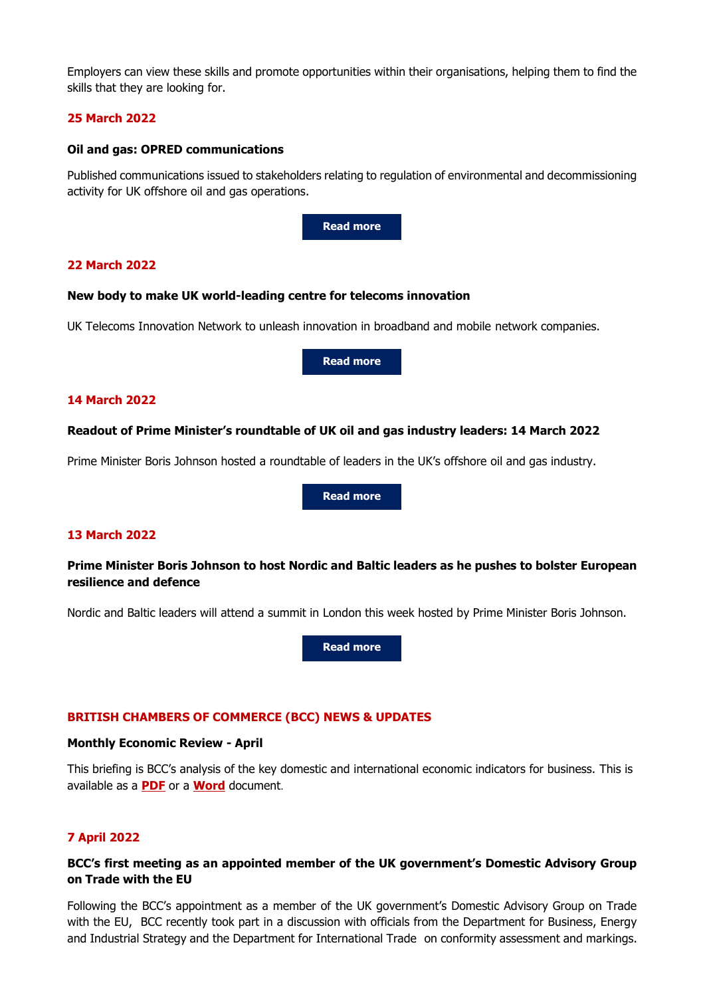Employers can view these skills and promote opportunities within their organisations, helping them to find the skills that they are looking for.

## **25 March 2022**

### **Oil and gas: OPRED communications**

Published communications issued to stakeholders relating to regulation of environmental and decommissioning activity for UK offshore oil and gas operations.



## **22 March 2022**

### **New body to make UK world-leading centre for telecoms innovation**

UK Telecoms Innovation Network to unleash innovation in broadband and mobile network companies.

**[Read more](https://www.gov.uk/government/news/new-body-to-make-uk-world-leading-centre-for-telecoms-innovation)**

## **14 March 2022**

### **Readout of Prime Minister's roundtable of UK oil and gas industry leaders: 14 March 2022**

Prime Minister Boris Johnson hosted a roundtable of leaders in the UK's offshore oil and gas industry.

**[Read more](https://www.gov.uk/government/news/readout-of-prime-ministers-roundtable-of-uk-oil-and-gas-industry-leaders-14-march-2022)**

## **13 March 2022**

## **Prime Minister Boris Johnson to host Nordic and Baltic leaders as he pushes to bolster European resilience and defence**

Nordic and Baltic leaders will attend a summit in London this week hosted by Prime Minister Boris Johnson.

**[Read more](https://www.gov.uk/government/news/prime-minister-to-host-nordic-and-baltic-leaders-as-he-pushes-to-bolster-european-resilience-and-defence)**

## **BRITISH CHAMBERS OF COMMERCE (BCC) NEWS & UPDATES**

### **Monthly Economic Review - April**

This briefing is BCC's analysis of the key domestic and international economic indicators for business. This is available as a **[PDF](https://response.gv-c.com/Mail/Click/224?a=CA8F79706C826A5243457D184D64DCCE&r=3DC8A0987A997F2D85D4EF1316B171C9&v=)** or a **[Word](https://response.gv-c.com/Mail/Click/224?a=0EF6172D45A7ABC42387DDA07BC694A8&r=3DC8A0987A997F2D85D4EF1316B171C9&v=)** document.

## **7 April 2022**

## **BCC's first meeting as an appointed member of the UK government's Domestic Advisory Group on Trade with the EU**

Following the BCC's appointment as a member of the UK government's Domestic Advisory Group on Trade with the EU, BCC recently took part in a discussion with officials from the Department for Business, Energy and Industrial Strategy and the Department for International Trade on conformity assessment and markings.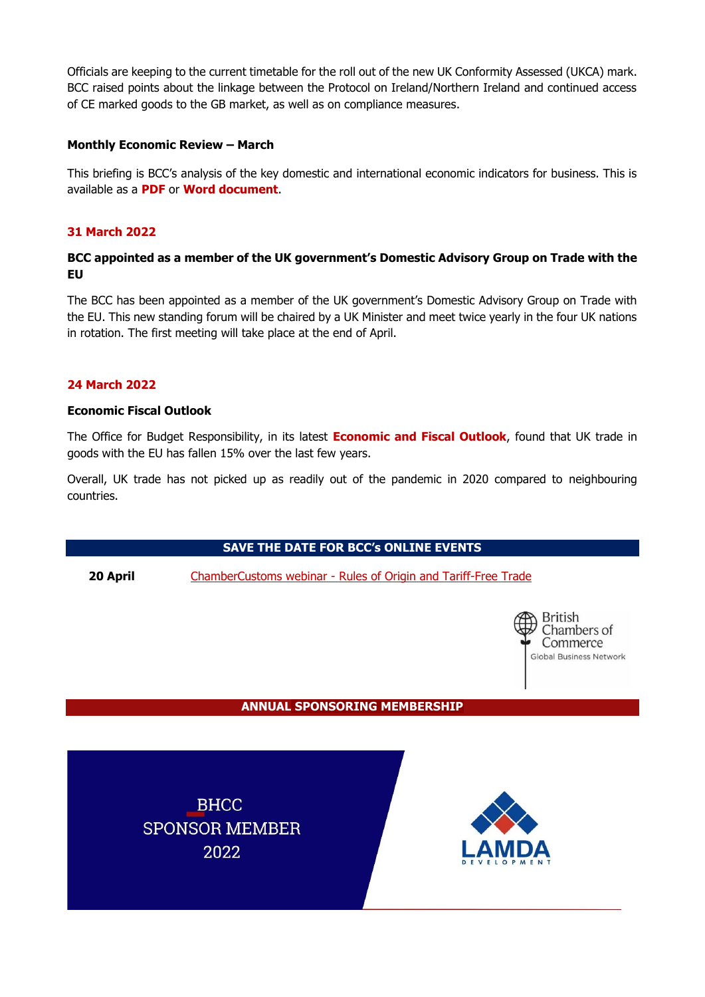Officials are keeping to the current timetable for the roll out of the new UK Conformity Assessed (UKCA) mark. BCC raised points about the linkage between the Protocol on Ireland/Northern Ireland and continued access of CE marked goods to the GB market, as well as on compliance measures.

## **Monthly Economic Review – March**

This briefing is BCC's analysis of the key domestic and international economic indicators for business. This is available as a **[PDF](https://response.gv-c.com/Mail/Click/224?a=715D466BC32604EECF72035E2D1524AA&r=AC7C62C1E14A5A7A695B46D5A280995C&v=)** or **[Word](https://response.gv-c.com/Mail/Click/224?a=F85D6D6831234FDA03C67FF19CEBF7F8&r=AC7C62C1E14A5A7A695B46D5A280995C&v=) document**.

# **31 March 2022**

# **BCC appointed as a member of the UK government's Domestic Advisory Group on Trade with the EU**

The BCC has been appointed as a member of the UK government's Domestic Advisory Group on Trade with the EU. This new standing forum will be chaired by a UK Minister and meet twice yearly in the four UK nations in rotation. The first meeting will take place at the end of April.

# **24 March 2022**

# **Economic Fiscal Outlook**

The Office for Budget Responsibility, in its latest **[Economic and Fiscal Outlook](https://response.gv-c.com/Mail/Click/224?a=51DED4C52C1A41AED4FF40D611E34D31&r=AC7C62C1E14A5A7A695B46D5A280995C&v=)**, found that UK trade in goods with the EU has fallen 15% over the last few years.

Overall, UK trade has not picked up as readily out of the pandemic in 2020 compared to neighbouring countries.

**SAVE THE DATE FOR BCC's ONLINE EVENTS**

**20 April** ChamberCustoms webinar - [Rules of Origin and Tariff-Free Trade](https://response.gv-c.com/Mail/Click/224?a=BA9F08F223478873CEA51A31FAA470D0&r=3DC8A0987A997F2D85D4EF1316B171C9&v=)



**ANNUAL SPONSORING MEMBERSHIP**

**BHCC SPONSOR MEMBER** 2022